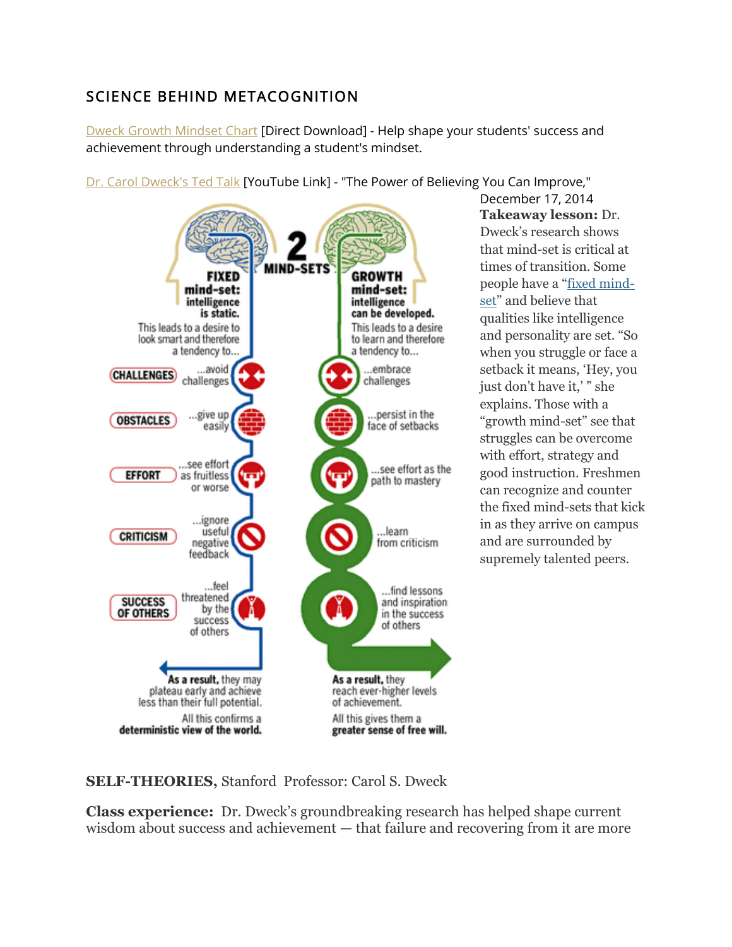## SCIENCE BEHIND METACOGNITION

[Dweck Growth Mindset Chart](https://ctlpointloma.org/s/Dweck-growth-mindset.docx) [Direct Download] - Help shape your students' success and achievement through understanding a student's mindset.

[Dr. Carol Dweck's Ted Talk](https://www.youtube.com/watch?v=_X0mgOOSpLU) [YouTube Link] - "The Power of Believing You Can Improve,"



December 17, 2014 **Takeaway lesson:** Dr. Dweck's research shows that mind-set is critical at times of transition. Some people have a "[fixed mind](https://www.youtube.com/watch?v=w6LwE4h1y24)[set](https://www.youtube.com/watch?v=w6LwE4h1y24)" and believe that qualities like intelligence and personality are set. "So when you struggle or face a setback it means, 'Hey, you just don't have it,' " she explains. Those with a "growth mind-set" see that struggles can be overcome with effort, strategy and good instruction. Freshmen can recognize and counter the fixed mind-sets that kick in as they arrive on campus and are surrounded by supremely talented peers.

**SELF-THEORIES,** Stanford Professor: Carol S. Dweck

**Class experience:** Dr. Dweck's groundbreaking research has helped shape current wisdom about success and achievement — that failure and recovering from it are more